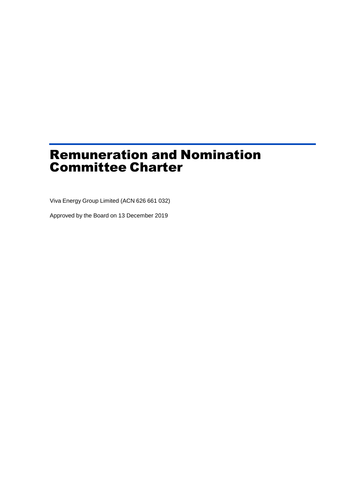# Remuneration and Nomination Committee Charter

Viva Energy Group Limited (ACN 626 661 032)

Approved by the Board on 13 December 2019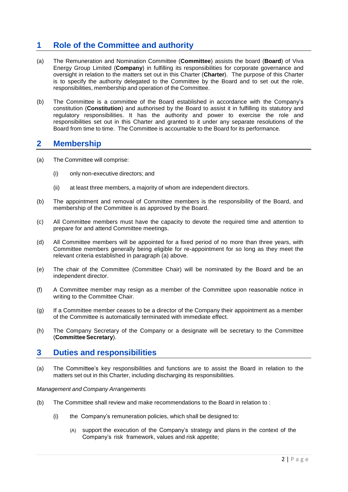# **1 Role of the Committee and authority**

- (a) The Remuneration and Nomination Committee (**Committee**) assists the board (**Board**) of Viva Energy Group Limited (**Company**) in fulfilling its responsibilities for corporate governance and oversight in relation to the matters set out in this Charter (**Charter**). The purpose of this Charter is to specify the authority delegated to the Committee by the Board and to set out the role, responsibilities, membership and operation of the Committee.
- (b) The Committee is a committee of the Board established in accordance with the Company's constitution (**Constitution**) and authorised by the Board to assist it in fulfilling its statutory and regulatory responsibilities. It has the authority and power to exercise the role and responsibilities set out in this Charter and granted to it under any separate resolutions of the Board from time to time. The Committee is accountable to the Board for its performance.

### **2 Membership**

- (a) The Committee will comprise:
	- (i) only non-executive directors; and
	- (ii) at least three members, a majority of whom are independent directors.
- (b) The appointment and removal of Committee members is the responsibility of the Board, and membership of the Committee is as approved by the Board.
- (c) All Committee members must have the capacity to devote the required time and attention to prepare for and attend Committee meetings.
- (d) All Committee members will be appointed for a fixed period of no more than three years, with Committee members generally being eligible for re-appointment for so long as they meet the relevant criteria established in paragraph (a) above.
- (e) The chair of the Committee (Committee Chair) will be nominated by the Board and be an independent director.
- (f) A Committee member may resign as a member of the Committee upon reasonable notice in writing to the Committee Chair.
- (g) If a Committee member ceases to be a director of the Company their appointment as a member of the Committee is automatically terminated with immediate effect.
- (h) The Company Secretary of the Company or a designate will be secretary to the Committee (**Committee Secretary**).

### **3 Duties and responsibilities**

(a) The Committee's key responsibilities and functions are to assist the Board in relation to the matters set out in this Charter, including discharging its responsibilities.

#### *Management and Company Arrangements*

- (b) The Committee shall review and make recommendations to the Board in relation to :
	- (i) the Company's remuneration policies, which shall be designed to:
		- (A) support the execution of the Company's strategy and plans in the context of the Company's risk framework, values and risk appetite;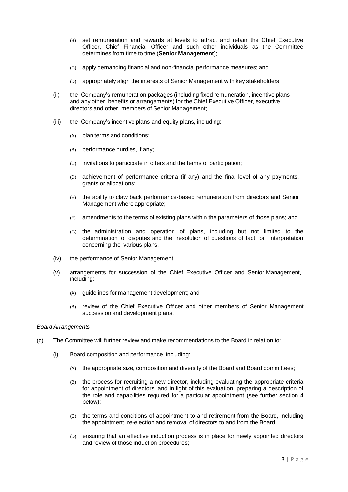- (B) set remuneration and rewards at levels to attract and retain the Chief Executive Officer, Chief Financial Officer and such other individuals as the Committee determines from time to time (**Senior Management**);
- (C) apply demanding financial and non-financial performance measures; and
- (D) appropriately align the interests of Senior Management with key stakeholders;
- (ii) the Company's remuneration packages (including fixed remuneration, incentive plans and any other benefits or arrangements) for the Chief Executive Officer, executive directors and other members of Senior Management;
- (iii) the Company's incentive plans and equity plans, including:
	- (A) plan terms and conditions;
	- (B) performance hurdles, if any;
	- (C) invitations to participate in offers and the terms of participation;
	- (D) achievement of performance criteria (if any) and the final level of any payments, grants or allocations;
	- (E) the ability to claw back performance-based remuneration from directors and Senior Management where appropriate;
	- (F) amendments to the terms of existing plans within the parameters of those plans; and
	- (G) the administration and operation of plans, including but not limited to the determination of disputes and the resolution of questions of fact or interpretation concerning the various plans.
- (iv) the performance of Senior Management;
- (v) arrangements for succession of the Chief Executive Officer and Senior Management, including:
	- (A) guidelines for management development; and
	- (B) review of the Chief Executive Officer and other members of Senior Management succession and development plans.

#### *Board Arrangements*

- (c) The Committee will further review and make recommendations to the Board in relation to:
	- (i) Board composition and performance, including:
		- (A) the appropriate size, composition and diversity of the Board and Board committees;
		- (B) the process for recruiting a new director, including evaluating the appropriate criteria for appointment of directors, and in light of this evaluation, preparing a description of the role and capabilities required for a particular appointment (see further section 4 below);
		- (C) the terms and conditions of appointment to and retirement from the Board, including the appointment, re-election and removal of directors to and from the Board;
		- (D) ensuring that an effective induction process is in place for newly appointed directors and review of those induction procedures;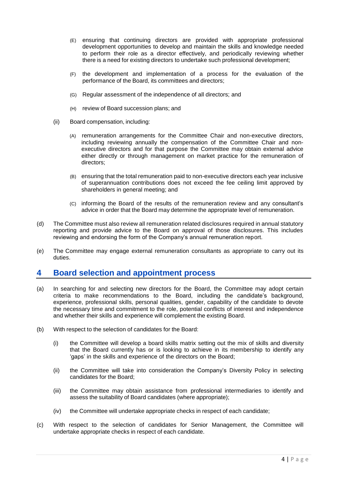- (E) ensuring that continuing directors are provided with appropriate professional development opportunities to develop and maintain the skills and knowledge needed to perform their role as a director effectively, and periodically reviewing whether there is a need for existing directors to undertake such professional development;
- (F) the development and implementation of a process for the evaluation of the performance of the Board, its committees and directors;
- (G) Regular assessment of the independence of all directors; and
- (H) review of Board succession plans; and
- (ii) Board compensation, including:
	- (A) remuneration arrangements for the Committee Chair and non-executive directors, including reviewing annually the compensation of the Committee Chair and nonexecutive directors and for that purpose the Committee may obtain external advice either directly or through management on market practice for the remuneration of directors;
	- (B) ensuring that the total remuneration paid to non-executive directors each year inclusive of superannuation contributions does not exceed the fee ceiling limit approved by shareholders in general meeting; and
	- (C) informing the Board of the results of the remuneration review and any consultant's advice in order that the Board may determine the appropriate level of remuneration.
- (d) The Committee must also review all remuneration related disclosures required in annual statutory reporting and provide advice to the Board on approval of those disclosures. This includes reviewing and endorsing the form of the Company's annual remuneration report.
- (e) The Committee may engage external remuneration consultants as appropriate to carry out its duties.

### **4 Board selection and appointment process**

- (a) In searching for and selecting new directors for the Board, the Committee may adopt certain criteria to make recommendations to the Board, including the candidate's background, experience, professional skills, personal qualities, gender, capability of the candidate to devote the necessary time and commitment to the role, potential conflicts of interest and independence and whether their skills and experience will complement the existing Board.
- (b) With respect to the selection of candidates for the Board:
	- (i) the Committee will develop a board skills matrix setting out the mix of skills and diversity that the Board currently has or is looking to achieve in its membership to identify any 'gaps' in the skills and experience of the directors on the Board;
	- (ii) the Committee will take into consideration the Company's Diversity Policy in selecting candidates for the Board;
	- (iii) the Committee may obtain assistance from professional intermediaries to identify and assess the suitability of Board candidates (where appropriate);
	- (iv) the Committee will undertake appropriate checks in respect of each candidate;
- (c) With respect to the selection of candidates for Senior Management, the Committee will undertake appropriate checks in respect of each candidate.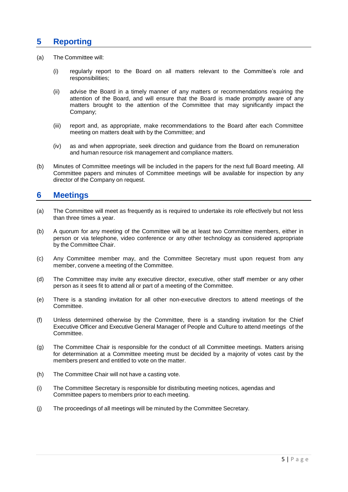# **5 Reporting**

- (a) The Committee will:
	- (i) regularly report to the Board on all matters relevant to the Committee's role and responsibilities;
	- (ii) advise the Board in a timely manner of any matters or recommendations requiring the attention of the Board, and will ensure that the Board is made promptly aware of any matters brought to the attention of the Committee that may significantly impact the Company;
	- (iii) report and, as appropriate, make recommendations to the Board after each Committee meeting on matters dealt with by the Committee; and
	- (iv) as and when appropriate, seek direction and guidance from the Board on remuneration and human resource risk management and compliance matters.
- (b) Minutes of Committee meetings will be included in the papers for the next full Board meeting. All Committee papers and minutes of Committee meetings will be available for inspection by any director of the Company on request.

## **6 Meetings**

- (a) The Committee will meet as frequently as is required to undertake its role effectively but not less than three times a year.
- (b) A quorum for any meeting of the Committee will be at least two Committee members, either in person or via telephone, video conference or any other technology as considered appropriate by the Committee Chair.
- (c) Any Committee member may, and the Committee Secretary must upon request from any member, convene a meeting of the Committee.
- (d) The Committee may invite any executive director, executive, other staff member or any other person as it sees fit to attend all or part of a meeting of the Committee.
- (e) There is a standing invitation for all other non-executive directors to attend meetings of the Committee.
- (f) Unless determined otherwise by the Committee, there is a standing invitation for the Chief Executive Officer and Executive General Manager of People and Culture to attend meetings of the Committee.
- (g) The Committee Chair is responsible for the conduct of all Committee meetings. Matters arising for determination at a Committee meeting must be decided by a majority of votes cast by the members present and entitled to vote on the matter.
- (h) The Committee Chair will not have a casting vote.
- (i) The Committee Secretary is responsible for distributing meeting notices, agendas and Committee papers to members prior to each meeting.
- (j) The proceedings of all meetings will be minuted by the Committee Secretary.